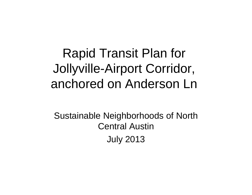# Rapid Transit Plan for Jollyville-Airport Corridor, anchored on Anderson Ln

Sustainable Neighborhoods of North Central AustinJuly 2013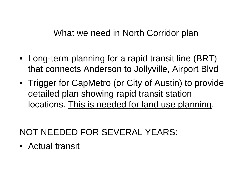#### What we need in North Corridor plan

- Long-term planning for a rapid transit line (BRT) that connects Anderson to Jollyville, Airport Blvd
- Trigger for CapMetro (or City of Austin) to provide detailed plan showing rapid transit station locations. This is needed for land use planning.

# NOT NEEDED FOR SEVERAL YEARS:

• Actual transit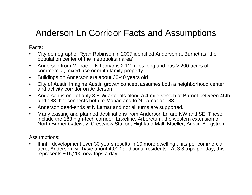## Anderson Ln Corridor Facts and Assumptions

Facts:

- City demographer Ryan Robinson in 2007 identified Anderson at Burnet as "the population center of the metropolitan area"
- Anderson from Mopac to N Lamar is 2.12 miles long and has > 200 acres of commercial, mixed use or multi-family property
- Buildings on Anderson are about 30-40 years old
- City of Austin Imagine Austin growth concept assumes both a neighborhood center and activity corridor on Anderson
- Anderson is one of only 3 E-W arterials along a 4-mile stretch of Burnet between 45th and 183 that connects both to Mopac and to N Lamar or 183
- Anderson dead-ends at N Lamar and not all turns are supported.
- Many existing and planned destinations from Anderson Ln are NW and SE. These include the 183 high-tech corridor, Lakeline, Arboretum, the western extension of North Burnet Gateway, Crestview Station, Highland Mall, Mueller, Austin-Bergstrom

Assumptions:

• If infill development over 30 years results in 10 more dwelling units per commercial acre, Anderson will have about 4,000 additional residents. At 3.8 trips per day, this represents  $\sim$  15,200 new trips a day.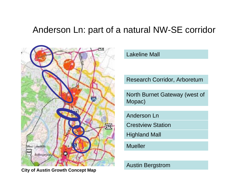## Anderson Ln: part of a natural NW-SE corridor



**City of Austin Growth Concept Map**

Lakeline Mall

Research Corridor, Arboretum

North Burnet Gateway (west of Mopac)

Anderson Ln

Crestview Station

Highland Mall

Mueller

Austin Bergstrom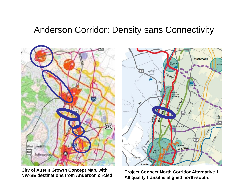#### Anderson Corridor: Density sans Connectivity



**City of Austin Growth Concept Map, with NW-SE destinations from Anderson circled**

**Project Connect North Corridor Alternative 1. All quality transit is aligned north-south.**